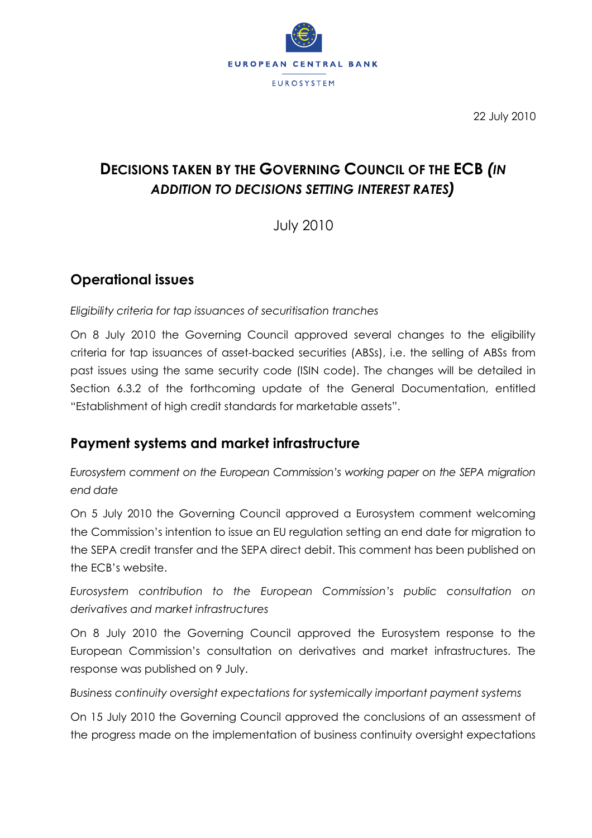

22 July 2010

# **DECISIONS TAKEN BY THE GOVERNING COUNCIL OF THE ECB** *(IN ADDITION TO DECISIONS SETTING INTEREST RATES)*

July 2010

# **Operational issues**

*Eligibility criteria for tap issuances of securitisation tranches*

On 8 July 2010 the Governing Council approved several changes to the eligibility criteria for tap issuances of asset-backed securities (ABSs), i.e. the selling of ABSs from past issues using the same security code (ISIN code). The changes will be detailed in Section 6.3.2 of the forthcoming update of the General Documentation, entitled "Establishment of high credit standards for marketable assets".

# **Payment systems and market infrastructure**

*Eurosystem comment on the European Commission's working paper on the SEPA migration end date*

On 5 July 2010 the Governing Council approved a Eurosystem comment welcoming the Commission's intention to issue an EU regulation setting an end date for migration to the SEPA credit transfer and the SEPA direct debit. This comment has been published on the ECB's website.

*Eurosystem contribution to the European Commission's public consultation on derivatives and market infrastructures*

On 8 July 2010 the Governing Council approved the Eurosystem response to the European Commission's consultation on derivatives and market infrastructures. The response was published on 9 July.

*Business continuity oversight expectations for systemically important payment systems*

On 15 July 2010 the Governing Council approved the conclusions of an assessment of the progress made on the implementation of business continuity oversight expectations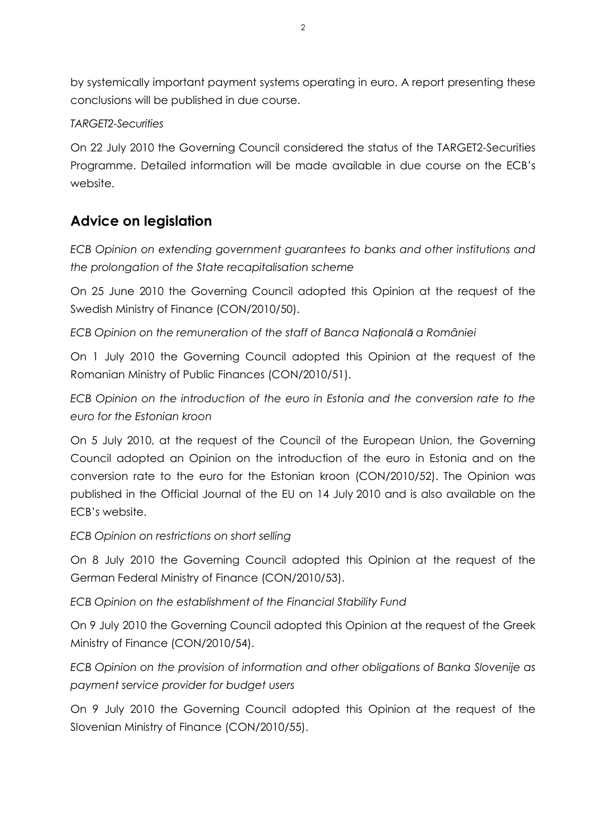by systemically important payment systems operating in euro. A report presenting these conclusions will be published in due course.

#### *TARGET2-Securities*

On 22 July 2010 the Governing Council considered the status of the TARGET2-Securities Programme. Detailed information will be made available in due course on the ECB's website.

### **Advice on legislation**

*ECB Opinion on extending government guarantees to banks and other institutions and the prolongation of the State recapitalisation scheme*

On 25 June 2010 the Governing Council adopted this Opinion at the request of the Swedish Ministry of Finance (CON/2010/50).

*ECB Opinion on the remuneration of the staff of Banca Naţională a României*

On 1 July 2010 the Governing Council adopted this Opinion at the request of the Romanian Ministry of Public Finances (CON/2010/51).

*ECB Opinion on the introduction of the euro in Estonia and the conversion rate to the euro for the Estonian kroon*

On 5 July 2010, at the request of the Council of the European Union, the Governing Council adopted an Opinion on the introduction of the euro in Estonia and on the conversion rate to the euro for the Estonian kroon (CON/2010/52). The Opinion was published in the Official Journal of the EU on 14 July 2010 and is also available on the ECB's website.

*ECB Opinion on restrictions on short selling*

On 8 July 2010 the Governing Council adopted this Opinion at the request of the German Federal Ministry of Finance (CON/2010/53).

*ECB Opinion on the establishment of the Financial Stability Fund*

On 9 July 2010 the Governing Council adopted this Opinion at the request of the Greek Ministry of Finance (CON/2010/54).

*ECB Opinion on the provision of information and other obligations of Banka Slovenije as payment service provider for budget users*

On 9 July 2010 the Governing Council adopted this Opinion at the request of the Slovenian Ministry of Finance (CON/2010/55).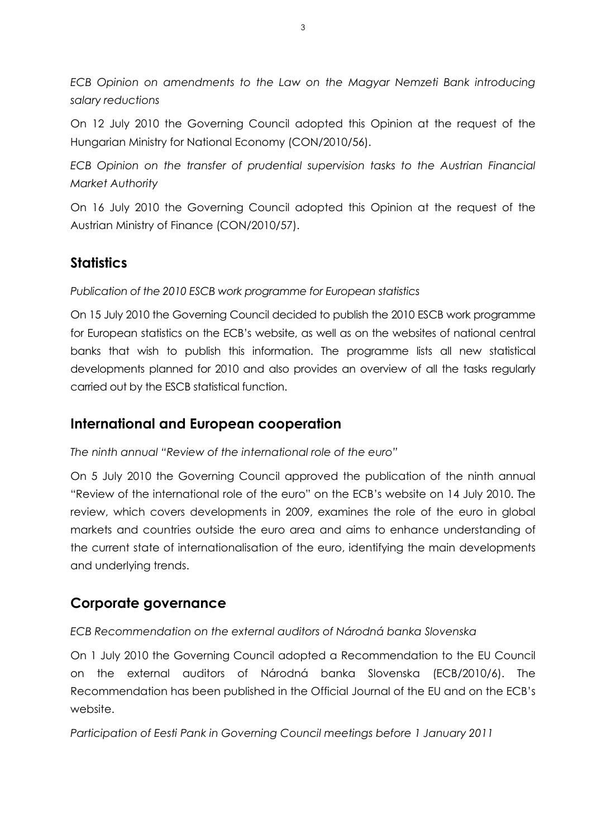*ECB Opinion on amendments to the Law on the Magyar Nemzeti Bank introducing salary reductions*

On 12 July 2010 the Governing Council adopted this Opinion at the request of the Hungarian Ministry for National Economy (CON/2010/56).

*ECB Opinion on the transfer of prudential supervision tasks to the Austrian Financial Market Authority*

On 16 July 2010 the Governing Council adopted this Opinion at the request of the Austrian Ministry of Finance (CON/2010/57).

### **Statistics**

*Publication of the 2010 ESCB work programme for European statistics*

On 15 July 2010 the Governing Council decided to publish the 2010 ESCB work programme for European statistics on the ECB's website, as well as on the websites of national central banks that wish to publish this information. The programme lists all new statistical developments planned for 2010 and also provides an overview of all the tasks regularly carried out by the ESCB statistical function.

#### **International and European cooperation**

*The ninth annual "Review of the international role of the euro"*

On 5 July 2010 the Governing Council approved the publication of the ninth annual "Review of the international role of the euro" on the ECB's website on 14 July 2010. The review, which covers developments in 2009, examines the role of the euro in global markets and countries outside the euro area and aims to enhance understanding of the current state of internationalisation of the euro, identifying the main developments and underlying trends.

# **Corporate governance**

*ECB Recommendation on the external auditors of Národná banka Slovenska*

On 1 July 2010 the Governing Council adopted a Recommendation to the EU Council on the external auditors of Národná banka Slovenska (ECB/2010/6). The Recommendation has been published in the Official Journal of the EU and on the ECB's website.

*Participation of Eesti Pank in Governing Council meetings before 1 January 2011*